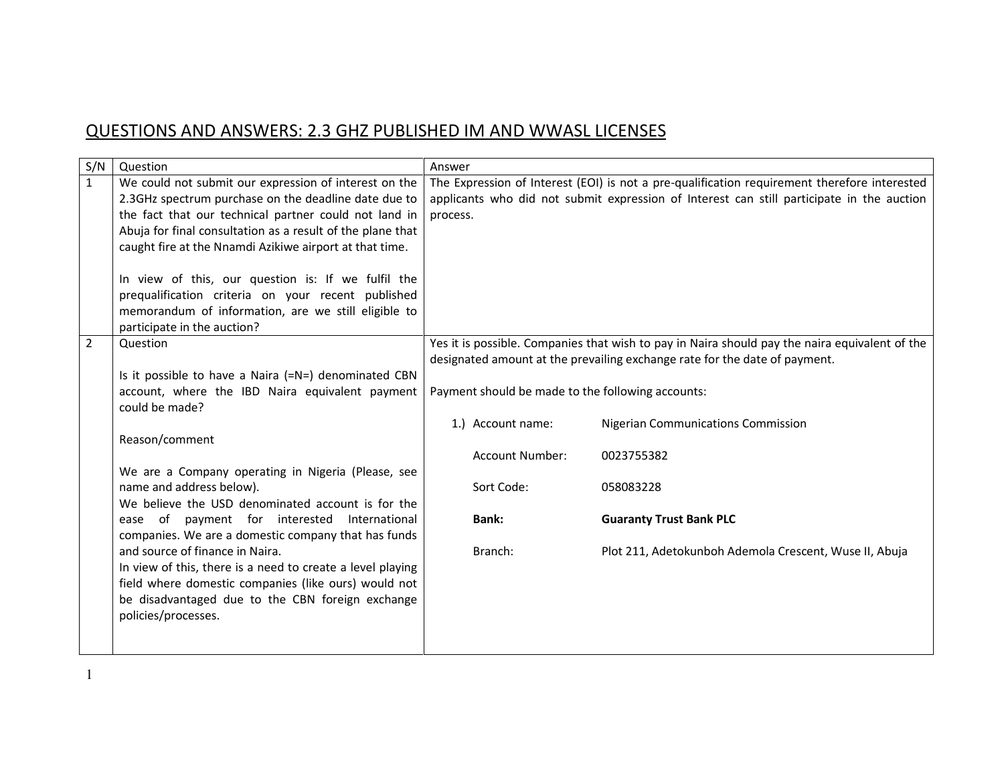## QUESTIONS AND ANSWERS: 2.3 GHZ PUBLISHED IM AND WWASL LICENSES

| S/N            | Question                                                                                                                                                                                                                                                                                                                                                                                                                                                                                          | Answer                                            |                                                                                                                                                                                           |
|----------------|---------------------------------------------------------------------------------------------------------------------------------------------------------------------------------------------------------------------------------------------------------------------------------------------------------------------------------------------------------------------------------------------------------------------------------------------------------------------------------------------------|---------------------------------------------------|-------------------------------------------------------------------------------------------------------------------------------------------------------------------------------------------|
| $\mathbf{1}$   | We could not submit our expression of interest on the<br>2.3GHz spectrum purchase on the deadline date due to<br>the fact that our technical partner could not land in<br>Abuja for final consultation as a result of the plane that<br>caught fire at the Nnamdi Azikiwe airport at that time.<br>In view of this, our question is: If we fulfil the<br>prequalification criteria on your recent published<br>memorandum of information, are we still eligible to<br>participate in the auction? | process.                                          | The Expression of Interest (EOI) is not a pre-qualification requirement therefore interested<br>applicants who did not submit expression of Interest can still participate in the auction |
| $\overline{2}$ | Question<br>Is it possible to have a Naira (=N=) denominated CBN<br>account, where the IBD Naira equivalent payment                                                                                                                                                                                                                                                                                                                                                                               | Payment should be made to the following accounts: | Yes it is possible. Companies that wish to pay in Naira should pay the naira equivalent of the<br>designated amount at the prevailing exchange rate for the date of payment.              |
|                | could be made?                                                                                                                                                                                                                                                                                                                                                                                                                                                                                    | 1.) Account name:                                 | <b>Nigerian Communications Commission</b>                                                                                                                                                 |
|                | Reason/comment                                                                                                                                                                                                                                                                                                                                                                                                                                                                                    | <b>Account Number:</b>                            | 0023755382                                                                                                                                                                                |
|                | We are a Company operating in Nigeria (Please, see<br>name and address below).<br>We believe the USD denominated account is for the                                                                                                                                                                                                                                                                                                                                                               | Sort Code:                                        | 058083228                                                                                                                                                                                 |
|                | ease of payment for interested International<br>companies. We are a domestic company that has funds                                                                                                                                                                                                                                                                                                                                                                                               | <b>Bank:</b>                                      | <b>Guaranty Trust Bank PLC</b>                                                                                                                                                            |
|                | and source of finance in Naira.<br>In view of this, there is a need to create a level playing<br>field where domestic companies (like ours) would not<br>be disadvantaged due to the CBN foreign exchange<br>policies/processes.                                                                                                                                                                                                                                                                  | Branch:                                           | Plot 211, Adetokunboh Ademola Crescent, Wuse II, Abuja                                                                                                                                    |

1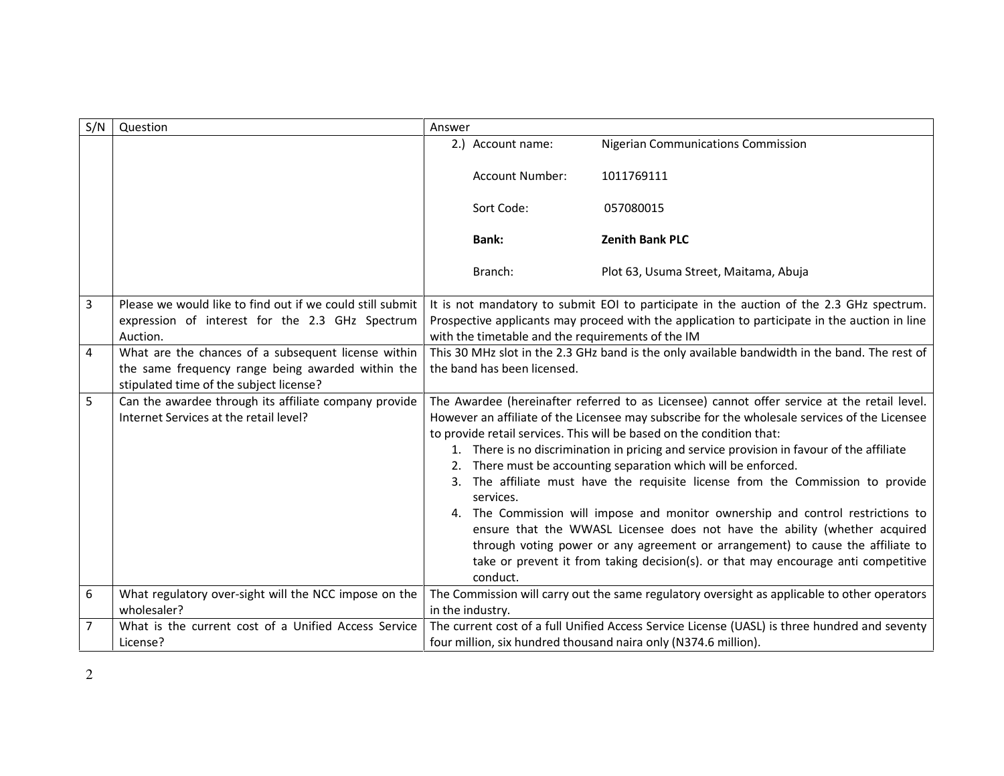| S/N | Question                                                                                                                                            | Answer   |                                                   |                                                                                                                                                                                                                                                                                                                                                                                                                                                                                                                                                                                                                                                                                                                                                                                                                                                          |
|-----|-----------------------------------------------------------------------------------------------------------------------------------------------------|----------|---------------------------------------------------|----------------------------------------------------------------------------------------------------------------------------------------------------------------------------------------------------------------------------------------------------------------------------------------------------------------------------------------------------------------------------------------------------------------------------------------------------------------------------------------------------------------------------------------------------------------------------------------------------------------------------------------------------------------------------------------------------------------------------------------------------------------------------------------------------------------------------------------------------------|
|     |                                                                                                                                                     |          | 2.) Account name:                                 | <b>Nigerian Communications Commission</b>                                                                                                                                                                                                                                                                                                                                                                                                                                                                                                                                                                                                                                                                                                                                                                                                                |
|     |                                                                                                                                                     |          | Account Number:                                   | 1011769111                                                                                                                                                                                                                                                                                                                                                                                                                                                                                                                                                                                                                                                                                                                                                                                                                                               |
|     |                                                                                                                                                     |          | Sort Code:                                        | 057080015                                                                                                                                                                                                                                                                                                                                                                                                                                                                                                                                                                                                                                                                                                                                                                                                                                                |
|     |                                                                                                                                                     |          | <b>Bank:</b>                                      | <b>Zenith Bank PLC</b>                                                                                                                                                                                                                                                                                                                                                                                                                                                                                                                                                                                                                                                                                                                                                                                                                                   |
|     |                                                                                                                                                     |          | Branch:                                           | Plot 63, Usuma Street, Maitama, Abuja                                                                                                                                                                                                                                                                                                                                                                                                                                                                                                                                                                                                                                                                                                                                                                                                                    |
| 3   | Please we would like to find out if we could still submit<br>expression of interest for the 2.3 GHz Spectrum<br>Auction.                            |          | with the timetable and the requirements of the IM | It is not mandatory to submit EOI to participate in the auction of the 2.3 GHz spectrum.<br>Prospective applicants may proceed with the application to participate in the auction in line                                                                                                                                                                                                                                                                                                                                                                                                                                                                                                                                                                                                                                                                |
| 4   | What are the chances of a subsequent license within<br>the same frequency range being awarded within the<br>stipulated time of the subject license? |          | the band has been licensed.                       | This 30 MHz slot in the 2.3 GHz band is the only available bandwidth in the band. The rest of                                                                                                                                                                                                                                                                                                                                                                                                                                                                                                                                                                                                                                                                                                                                                            |
| 5   | Can the awardee through its affiliate company provide<br>Internet Services at the retail level?                                                     | 3.<br>4. | services.<br>conduct.                             | The Awardee (hereinafter referred to as Licensee) cannot offer service at the retail level.<br>However an affiliate of the Licensee may subscribe for the wholesale services of the Licensee<br>to provide retail services. This will be based on the condition that:<br>1. There is no discrimination in pricing and service provision in favour of the affiliate<br>There must be accounting separation which will be enforced.<br>The affiliate must have the requisite license from the Commission to provide<br>The Commission will impose and monitor ownership and control restrictions to<br>ensure that the WWASL Licensee does not have the ability (whether acquired<br>through voting power or any agreement or arrangement) to cause the affiliate to<br>take or prevent it from taking decision(s). or that may encourage anti competitive |
| 6   | What regulatory over-sight will the NCC impose on the<br>wholesaler?                                                                                |          | in the industry.                                  | The Commission will carry out the same regulatory oversight as applicable to other operators                                                                                                                                                                                                                                                                                                                                                                                                                                                                                                                                                                                                                                                                                                                                                             |
| 7   | What is the current cost of a Unified Access Service<br>License?                                                                                    |          |                                                   | The current cost of a full Unified Access Service License (UASL) is three hundred and seventy<br>four million, six hundred thousand naira only (N374.6 million).                                                                                                                                                                                                                                                                                                                                                                                                                                                                                                                                                                                                                                                                                         |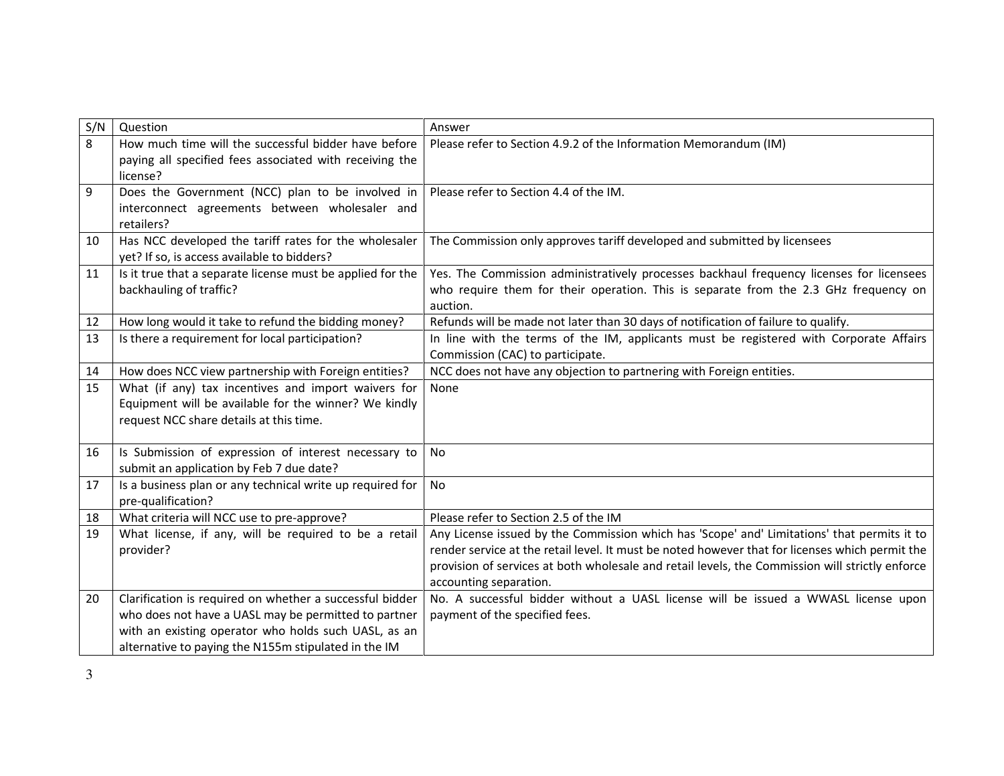| S/N | Question                                                            | Answer                                                                                          |
|-----|---------------------------------------------------------------------|-------------------------------------------------------------------------------------------------|
| 8   | How much time will the successful bidder have before                | Please refer to Section 4.9.2 of the Information Memorandum (IM)                                |
|     | paying all specified fees associated with receiving the<br>license? |                                                                                                 |
| 9   | Does the Government (NCC) plan to be involved in                    | Please refer to Section 4.4 of the IM.                                                          |
|     | interconnect agreements between wholesaler and                      |                                                                                                 |
|     | retailers?                                                          |                                                                                                 |
| 10  | Has NCC developed the tariff rates for the wholesaler               | The Commission only approves tariff developed and submitted by licensees                        |
|     | yet? If so, is access available to bidders?                         |                                                                                                 |
| 11  | Is it true that a separate license must be applied for the          | Yes. The Commission administratively processes backhaul frequency licenses for licensees        |
|     | backhauling of traffic?                                             | who require them for their operation. This is separate from the 2.3 GHz frequency on            |
|     |                                                                     | auction.                                                                                        |
| 12  | How long would it take to refund the bidding money?                 | Refunds will be made not later than 30 days of notification of failure to qualify.              |
| 13  | Is there a requirement for local participation?                     | In line with the terms of the IM, applicants must be registered with Corporate Affairs          |
|     |                                                                     | Commission (CAC) to participate.                                                                |
| 14  | How does NCC view partnership with Foreign entities?                | NCC does not have any objection to partnering with Foreign entities.                            |
| 15  | What (if any) tax incentives and import waivers for                 | None                                                                                            |
|     | Equipment will be available for the winner? We kindly               |                                                                                                 |
|     | request NCC share details at this time.                             |                                                                                                 |
| 16  | Is Submission of expression of interest necessary to                | No                                                                                              |
|     | submit an application by Feb 7 due date?                            |                                                                                                 |
| 17  | Is a business plan or any technical write up required for           | No                                                                                              |
|     | pre-qualification?                                                  |                                                                                                 |
| 18  | What criteria will NCC use to pre-approve?                          | Please refer to Section 2.5 of the IM                                                           |
| 19  | What license, if any, will be required to be a retail               | Any License issued by the Commission which has 'Scope' and' Limitations' that permits it to     |
|     | provider?                                                           | render service at the retail level. It must be noted however that for licenses which permit the |
|     |                                                                     | provision of services at both wholesale and retail levels, the Commission will strictly enforce |
|     |                                                                     | accounting separation.                                                                          |
| 20  | Clarification is required on whether a successful bidder            | No. A successful bidder without a UASL license will be issued a WWASL license upon              |
|     | who does not have a UASL may be permitted to partner                | payment of the specified fees.                                                                  |
|     | with an existing operator who holds such UASL, as an                |                                                                                                 |
|     | alternative to paying the N155m stipulated in the IM                |                                                                                                 |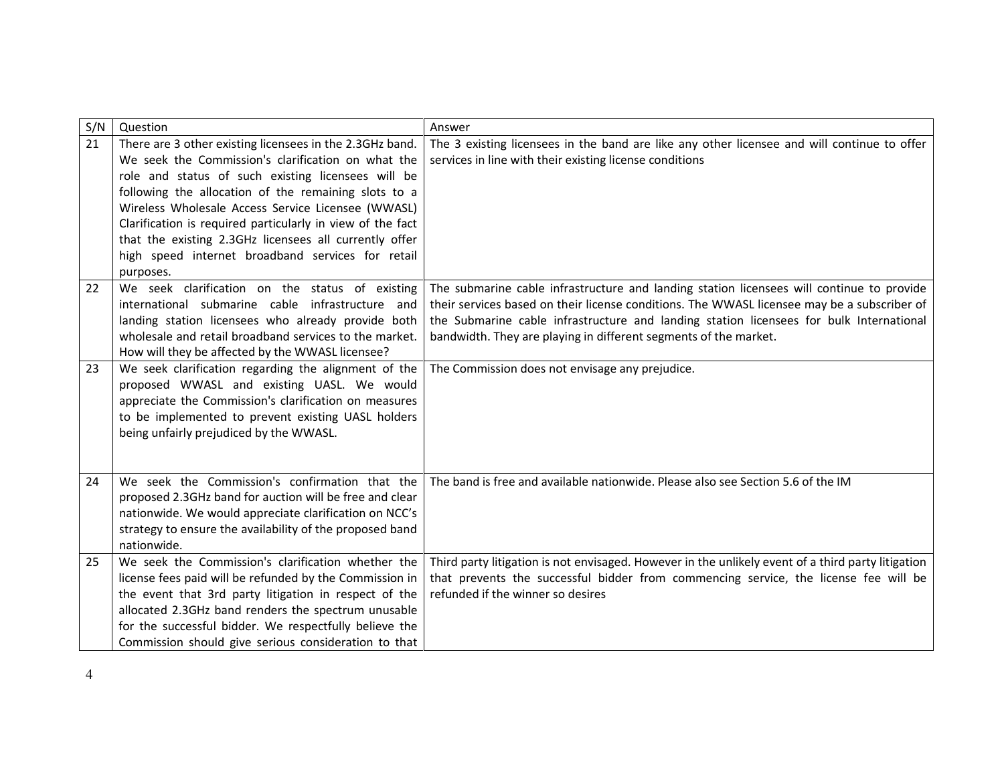| S/N | Question                                                                                                         | Answer                                                                                                                    |
|-----|------------------------------------------------------------------------------------------------------------------|---------------------------------------------------------------------------------------------------------------------------|
| 21  | There are 3 other existing licensees in the 2.3GHz band.                                                         | The 3 existing licensees in the band are like any other licensee and will continue to offer                               |
|     | We seek the Commission's clarification on what the                                                               | services in line with their existing license conditions                                                                   |
|     | role and status of such existing licensees will be<br>following the allocation of the remaining slots to a       |                                                                                                                           |
|     | Wireless Wholesale Access Service Licensee (WWASL)                                                               |                                                                                                                           |
|     | Clarification is required particularly in view of the fact                                                       |                                                                                                                           |
|     | that the existing 2.3GHz licensees all currently offer                                                           |                                                                                                                           |
|     | high speed internet broadband services for retail                                                                |                                                                                                                           |
|     | purposes.                                                                                                        |                                                                                                                           |
| 22  | We seek clarification on the status of existing                                                                  | The submarine cable infrastructure and landing station licensees will continue to provide                                 |
|     | international submarine cable infrastructure and                                                                 | their services based on their license conditions. The WWASL licensee may be a subscriber of                               |
|     | landing station licensees who already provide both                                                               | the Submarine cable infrastructure and landing station licensees for bulk International                                   |
|     | wholesale and retail broadband services to the market.                                                           | bandwidth. They are playing in different segments of the market.                                                          |
|     | How will they be affected by the WWASL licensee?                                                                 |                                                                                                                           |
| 23  | We seek clarification regarding the alignment of the                                                             | The Commission does not envisage any prejudice.                                                                           |
|     | proposed WWASL and existing UASL. We would<br>appreciate the Commission's clarification on measures              |                                                                                                                           |
|     | to be implemented to prevent existing UASL holders                                                               |                                                                                                                           |
|     | being unfairly prejudiced by the WWASL.                                                                          |                                                                                                                           |
|     |                                                                                                                  |                                                                                                                           |
|     |                                                                                                                  |                                                                                                                           |
| 24  | We seek the Commission's confirmation that the                                                                   | The band is free and available nationwide. Please also see Section 5.6 of the IM                                          |
|     | proposed 2.3GHz band for auction will be free and clear                                                          |                                                                                                                           |
|     | nationwide. We would appreciate clarification on NCC's                                                           |                                                                                                                           |
|     | strategy to ensure the availability of the proposed band                                                         |                                                                                                                           |
|     | nationwide.                                                                                                      |                                                                                                                           |
| 25  | We seek the Commission's clarification whether the                                                               | Third party litigation is not envisaged. However in the unlikely event of a third party litigation                        |
|     | license fees paid will be refunded by the Commission in<br>the event that 3rd party litigation in respect of the | that prevents the successful bidder from commencing service, the license fee will be<br>refunded if the winner so desires |
|     | allocated 2.3GHz band renders the spectrum unusable                                                              |                                                                                                                           |
|     | for the successful bidder. We respectfully believe the                                                           |                                                                                                                           |
|     | Commission should give serious consideration to that                                                             |                                                                                                                           |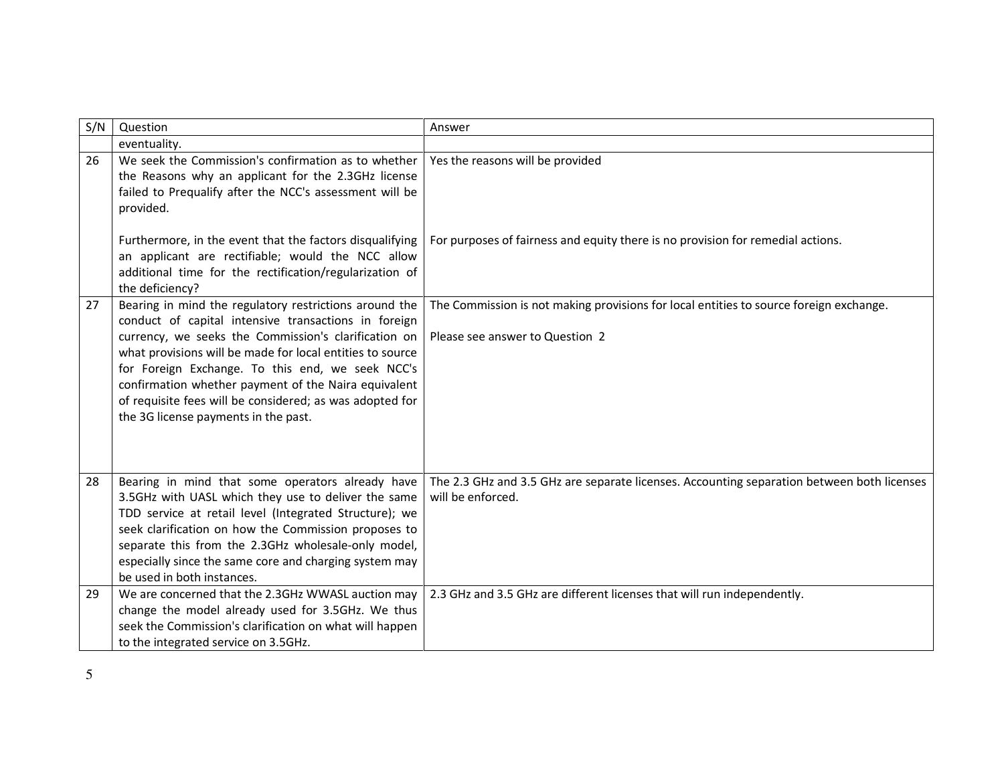| S/N | Question                                                                                                                                                                                                                                                                                                                                                                 | Answer                                                                                                          |
|-----|--------------------------------------------------------------------------------------------------------------------------------------------------------------------------------------------------------------------------------------------------------------------------------------------------------------------------------------------------------------------------|-----------------------------------------------------------------------------------------------------------------|
|     | eventuality.                                                                                                                                                                                                                                                                                                                                                             |                                                                                                                 |
| 26  | We seek the Commission's confirmation as to whether<br>the Reasons why an applicant for the 2.3GHz license<br>failed to Prequalify after the NCC's assessment will be<br>provided.                                                                                                                                                                                       | Yes the reasons will be provided                                                                                |
|     | Furthermore, in the event that the factors disqualifying<br>an applicant are rectifiable; would the NCC allow<br>additional time for the rectification/regularization of<br>the deficiency?                                                                                                                                                                              | For purposes of fairness and equity there is no provision for remedial actions.                                 |
| 27  | Bearing in mind the regulatory restrictions around the<br>conduct of capital intensive transactions in foreign                                                                                                                                                                                                                                                           | The Commission is not making provisions for local entities to source foreign exchange.                          |
|     | currency, we seeks the Commission's clarification on<br>what provisions will be made for local entities to source<br>for Foreign Exchange. To this end, we seek NCC's<br>confirmation whether payment of the Naira equivalent<br>of requisite fees will be considered; as was adopted for<br>the 3G license payments in the past.                                        | Please see answer to Question 2                                                                                 |
| 28  | Bearing in mind that some operators already have<br>3.5GHz with UASL which they use to deliver the same<br>TDD service at retail level (Integrated Structure); we<br>seek clarification on how the Commission proposes to<br>separate this from the 2.3GHz wholesale-only model,<br>especially since the same core and charging system may<br>be used in both instances. | The 2.3 GHz and 3.5 GHz are separate licenses. Accounting separation between both licenses<br>will be enforced. |
| 29  | We are concerned that the 2.3GHz WWASL auction may<br>change the model already used for 3.5GHz. We thus<br>seek the Commission's clarification on what will happen<br>to the integrated service on 3.5GHz.                                                                                                                                                               | 2.3 GHz and 3.5 GHz are different licenses that will run independently.                                         |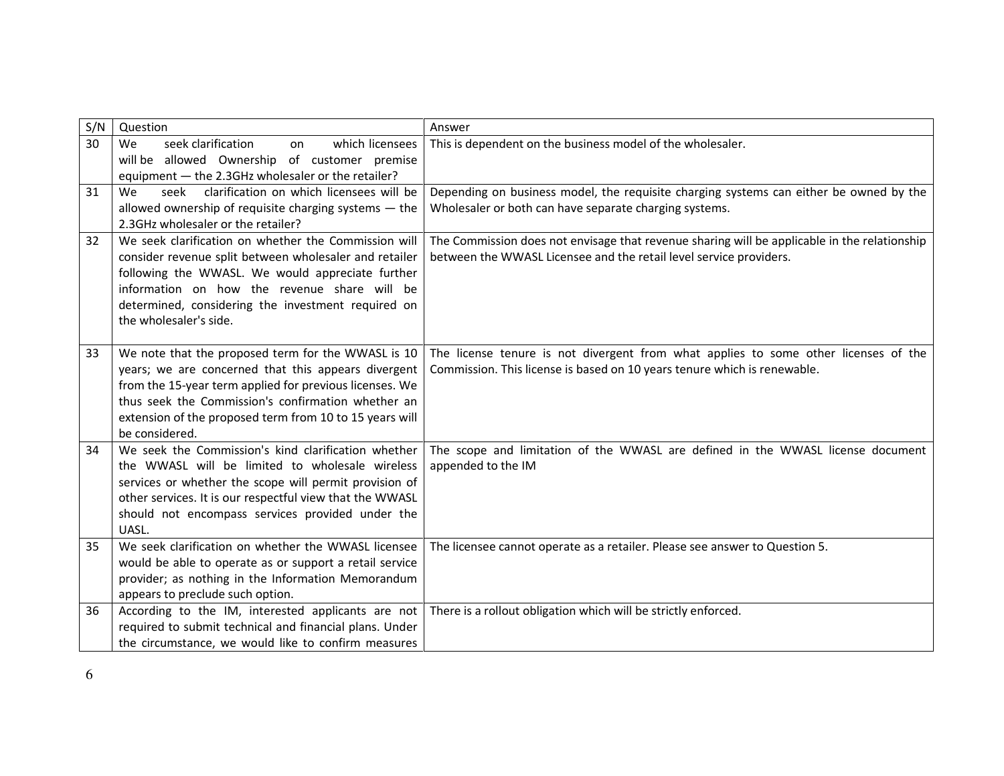| S/N | Question                                                                                                        | Answer                                                                                       |
|-----|-----------------------------------------------------------------------------------------------------------------|----------------------------------------------------------------------------------------------|
| 30  | seek clarification<br>which licensees<br><b>We</b><br>on                                                        | This is dependent on the business model of the wholesaler.                                   |
|     | will be allowed Ownership of customer premise                                                                   |                                                                                              |
|     | equipment - the 2.3GHz wholesaler or the retailer?                                                              |                                                                                              |
| 31  | seek<br>clarification on which licensees will be<br>We<br>allowed ownership of requisite charging systems - the | Depending on business model, the requisite charging systems can either be owned by the       |
|     | 2.3GHz wholesaler or the retailer?                                                                              | Wholesaler or both can have separate charging systems.                                       |
| 32  | We seek clarification on whether the Commission will                                                            | The Commission does not envisage that revenue sharing will be applicable in the relationship |
|     | consider revenue split between wholesaler and retailer                                                          | between the WWASL Licensee and the retail level service providers.                           |
|     | following the WWASL. We would appreciate further                                                                |                                                                                              |
|     | information on how the revenue share will be                                                                    |                                                                                              |
|     | determined, considering the investment required on                                                              |                                                                                              |
|     | the wholesaler's side.                                                                                          |                                                                                              |
|     |                                                                                                                 |                                                                                              |
| 33  | We note that the proposed term for the WWASL is 10                                                              | The license tenure is not divergent from what applies to some other licenses of the          |
|     | years; we are concerned that this appears divergent<br>from the 15-year term applied for previous licenses. We  | Commission. This license is based on 10 years tenure which is renewable.                     |
|     | thus seek the Commission's confirmation whether an                                                              |                                                                                              |
|     | extension of the proposed term from 10 to 15 years will                                                         |                                                                                              |
|     | be considered.                                                                                                  |                                                                                              |
| 34  | We seek the Commission's kind clarification whether                                                             | The scope and limitation of the WWASL are defined in the WWASL license document              |
|     | the WWASL will be limited to wholesale wireless                                                                 | appended to the IM                                                                           |
|     | services or whether the scope will permit provision of                                                          |                                                                                              |
|     | other services. It is our respectful view that the WWASL                                                        |                                                                                              |
|     | should not encompass services provided under the                                                                |                                                                                              |
| 35  | UASL.<br>We seek clarification on whether the WWASL licensee                                                    |                                                                                              |
|     | would be able to operate as or support a retail service                                                         | The licensee cannot operate as a retailer. Please see answer to Question 5.                  |
|     | provider; as nothing in the Information Memorandum                                                              |                                                                                              |
|     | appears to preclude such option.                                                                                |                                                                                              |
| 36  | According to the IM, interested applicants are not                                                              | There is a rollout obligation which will be strictly enforced.                               |
|     | required to submit technical and financial plans. Under                                                         |                                                                                              |
|     | the circumstance, we would like to confirm measures                                                             |                                                                                              |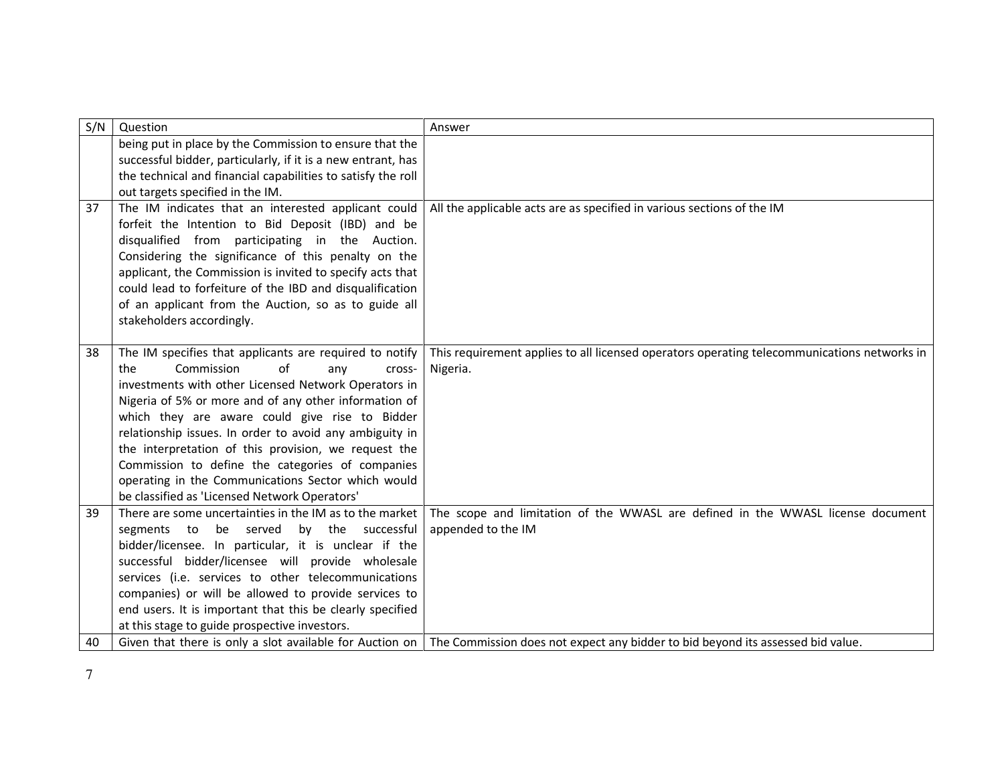| S/N | Question                                                                                                                                                                                                                                                                                                                                                                                                                                                                                                                                             | Answer                                                                                                                                     |
|-----|------------------------------------------------------------------------------------------------------------------------------------------------------------------------------------------------------------------------------------------------------------------------------------------------------------------------------------------------------------------------------------------------------------------------------------------------------------------------------------------------------------------------------------------------------|--------------------------------------------------------------------------------------------------------------------------------------------|
|     | being put in place by the Commission to ensure that the<br>successful bidder, particularly, if it is a new entrant, has                                                                                                                                                                                                                                                                                                                                                                                                                              |                                                                                                                                            |
|     | the technical and financial capabilities to satisfy the roll                                                                                                                                                                                                                                                                                                                                                                                                                                                                                         |                                                                                                                                            |
|     | out targets specified in the IM.                                                                                                                                                                                                                                                                                                                                                                                                                                                                                                                     |                                                                                                                                            |
| 37  | The IM indicates that an interested applicant could<br>forfeit the Intention to Bid Deposit (IBD) and be<br>disqualified from participating in the Auction.<br>Considering the significance of this penalty on the<br>applicant, the Commission is invited to specify acts that<br>could lead to forfeiture of the IBD and disqualification                                                                                                                                                                                                          | All the applicable acts are as specified in various sections of the IM                                                                     |
|     | of an applicant from the Auction, so as to guide all<br>stakeholders accordingly.                                                                                                                                                                                                                                                                                                                                                                                                                                                                    |                                                                                                                                            |
| 38  | The IM specifies that applicants are required to notify<br>Commission<br>of<br>the<br>any<br>cross-<br>investments with other Licensed Network Operators in<br>Nigeria of 5% or more and of any other information of<br>which they are aware could give rise to Bidder<br>relationship issues. In order to avoid any ambiguity in<br>the interpretation of this provision, we request the<br>Commission to define the categories of companies<br>operating in the Communications Sector which would<br>be classified as 'Licensed Network Operators' | This requirement applies to all licensed operators operating telecommunications networks in<br>Nigeria.                                    |
| 39  | There are some uncertainties in the IM as to the market<br>be served<br>by the successful<br>segments to<br>bidder/licensee. In particular, it is unclear if the<br>successful bidder/licensee will provide wholesale<br>services (i.e. services to other telecommunications<br>companies) or will be allowed to provide services to<br>end users. It is important that this be clearly specified<br>at this stage to guide prospective investors.                                                                                                   | The scope and limitation of the WWASL are defined in the WWASL license document<br>appended to the IM                                      |
| 40  |                                                                                                                                                                                                                                                                                                                                                                                                                                                                                                                                                      | Given that there is only a slot available for Auction on   The Commission does not expect any bidder to bid beyond its assessed bid value. |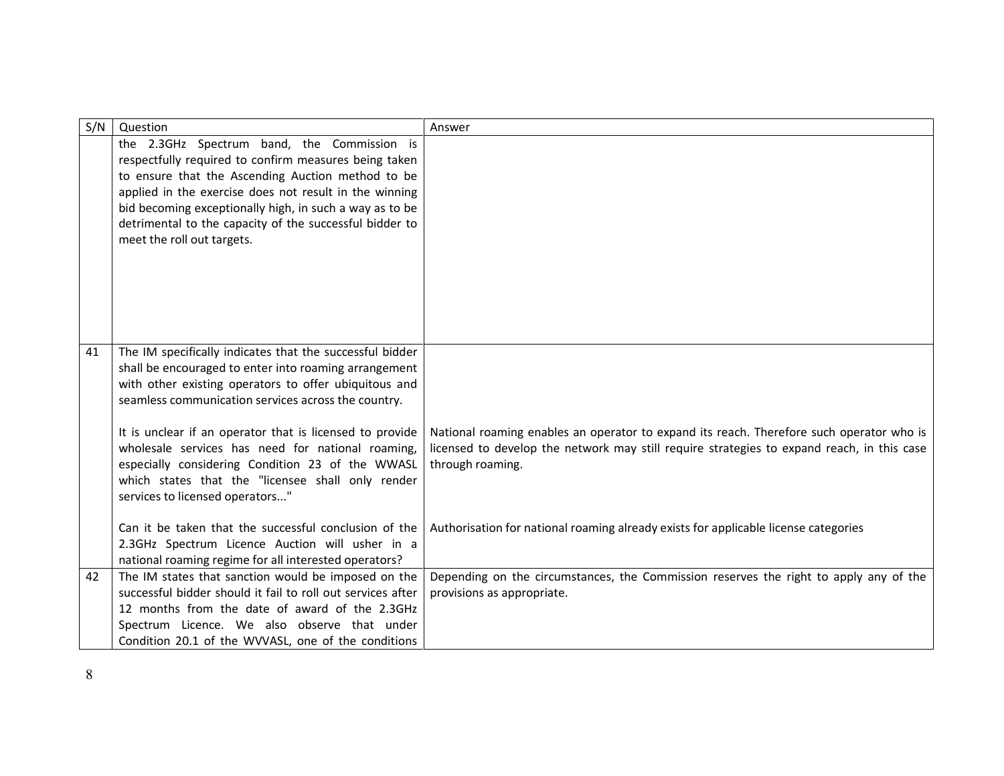| S/N | Question                                                                                                                                                                                                                                                                                                                                                                | Answer                                                                                                                                                                                                     |
|-----|-------------------------------------------------------------------------------------------------------------------------------------------------------------------------------------------------------------------------------------------------------------------------------------------------------------------------------------------------------------------------|------------------------------------------------------------------------------------------------------------------------------------------------------------------------------------------------------------|
|     | the 2.3GHz Spectrum band, the Commission is<br>respectfully required to confirm measures being taken<br>to ensure that the Ascending Auction method to be<br>applied in the exercise does not result in the winning<br>bid becoming exceptionally high, in such a way as to be<br>detrimental to the capacity of the successful bidder to<br>meet the roll out targets. |                                                                                                                                                                                                            |
|     |                                                                                                                                                                                                                                                                                                                                                                         |                                                                                                                                                                                                            |
| 41  | The IM specifically indicates that the successful bidder<br>shall be encouraged to enter into roaming arrangement<br>with other existing operators to offer ubiquitous and<br>seamless communication services across the country.                                                                                                                                       |                                                                                                                                                                                                            |
|     | It is unclear if an operator that is licensed to provide<br>wholesale services has need for national roaming,<br>especially considering Condition 23 of the WWASL<br>which states that the "licensee shall only render<br>services to licensed operators"                                                                                                               | National roaming enables an operator to expand its reach. Therefore such operator who is<br>licensed to develop the network may still require strategies to expand reach, in this case<br>through roaming. |
|     | Can it be taken that the successful conclusion of the<br>2.3GHz Spectrum Licence Auction will usher in a<br>national roaming regime for all interested operators?                                                                                                                                                                                                       | Authorisation for national roaming already exists for applicable license categories                                                                                                                        |
| 42  | The IM states that sanction would be imposed on the<br>successful bidder should it fail to roll out services after<br>12 months from the date of award of the 2.3GHz<br>Spectrum Licence. We also observe that under<br>Condition 20.1 of the WVVASL, one of the conditions                                                                                             | Depending on the circumstances, the Commission reserves the right to apply any of the<br>provisions as appropriate.                                                                                        |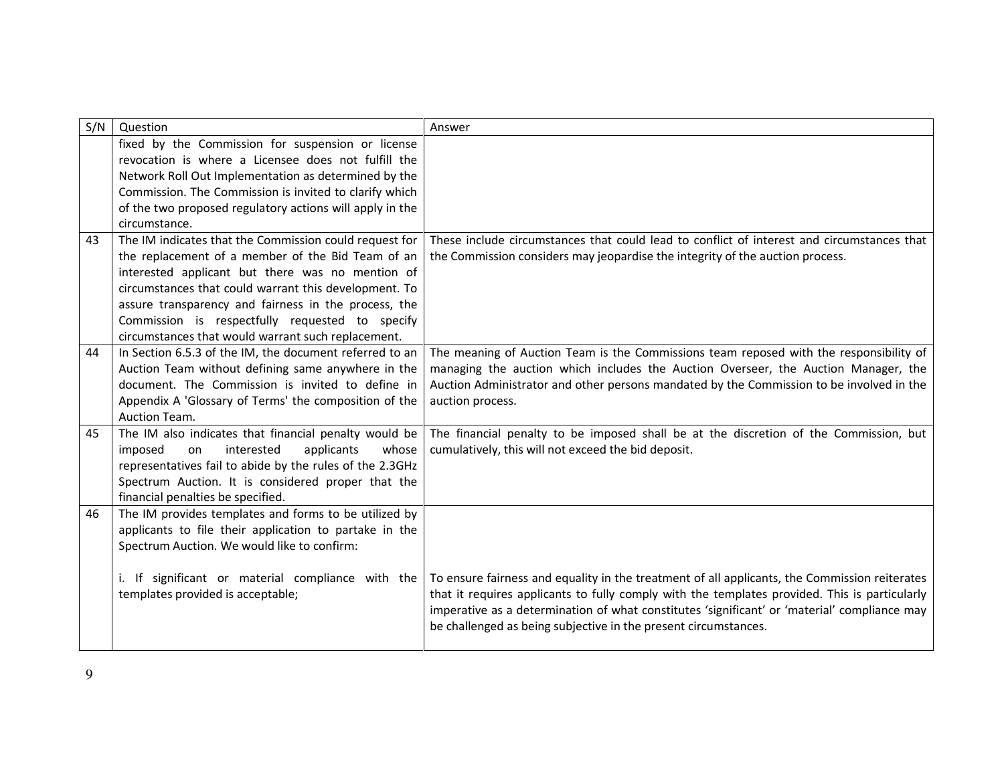| S/N | Question                                                                                | Answer                                                                                        |
|-----|-----------------------------------------------------------------------------------------|-----------------------------------------------------------------------------------------------|
|     | fixed by the Commission for suspension or license                                       |                                                                                               |
|     | revocation is where a Licensee does not fulfill the                                     |                                                                                               |
|     | Network Roll Out Implementation as determined by the                                    |                                                                                               |
|     | Commission. The Commission is invited to clarify which                                  |                                                                                               |
|     | of the two proposed regulatory actions will apply in the                                |                                                                                               |
|     | circumstance.                                                                           |                                                                                               |
| 43  | The IM indicates that the Commission could request for                                  | These include circumstances that could lead to conflict of interest and circumstances that    |
|     | the replacement of a member of the Bid Team of an                                       | the Commission considers may jeopardise the integrity of the auction process.                 |
|     | interested applicant but there was no mention of                                        |                                                                                               |
|     | circumstances that could warrant this development. To                                   |                                                                                               |
|     | assure transparency and fairness in the process, the                                    |                                                                                               |
|     | Commission is respectfully requested to specify                                         |                                                                                               |
|     | circumstances that would warrant such replacement.                                      |                                                                                               |
| 44  | In Section 6.5.3 of the IM, the document referred to an                                 | The meaning of Auction Team is the Commissions team reposed with the responsibility of        |
|     | Auction Team without defining same anywhere in the                                      | managing the auction which includes the Auction Overseer, the Auction Manager, the            |
|     | document. The Commission is invited to define in                                        | Auction Administrator and other persons mandated by the Commission to be involved in the      |
|     | Appendix A 'Glossary of Terms' the composition of the                                   | auction process.                                                                              |
|     | Auction Team.                                                                           |                                                                                               |
| 45  | The IM also indicates that financial penalty would be                                   | The financial penalty to be imposed shall be at the discretion of the Commission, but         |
|     | interested<br>applicants<br>whose<br>imposed<br>on                                      | cumulatively, this will not exceed the bid deposit.                                           |
|     | representatives fail to abide by the rules of the 2.3GHz                                |                                                                                               |
|     | Spectrum Auction. It is considered proper that the<br>financial penalties be specified. |                                                                                               |
| 46  | The IM provides templates and forms to be utilized by                                   |                                                                                               |
|     | applicants to file their application to partake in the                                  |                                                                                               |
|     | Spectrum Auction. We would like to confirm:                                             |                                                                                               |
|     |                                                                                         |                                                                                               |
|     | i. If significant or material compliance with the                                       | To ensure fairness and equality in the treatment of all applicants, the Commission reiterates |
|     | templates provided is acceptable;                                                       | that it requires applicants to fully comply with the templates provided. This is particularly |
|     |                                                                                         | imperative as a determination of what constitutes 'significant' or 'material' compliance may  |
|     |                                                                                         | be challenged as being subjective in the present circumstances.                               |
|     |                                                                                         |                                                                                               |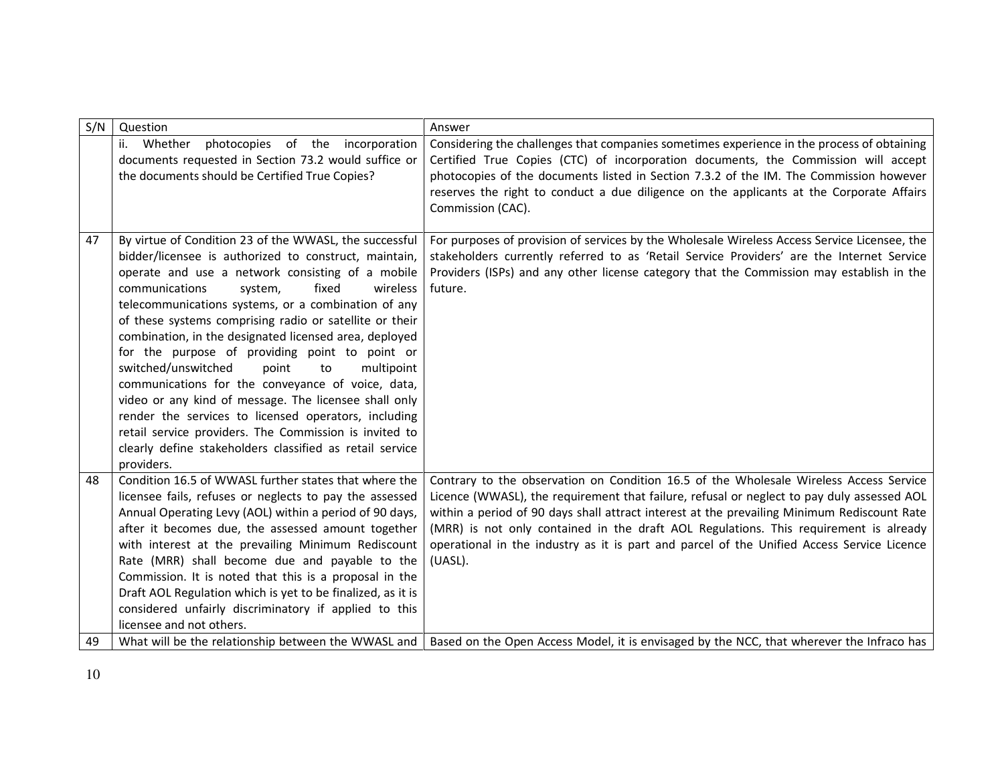| S/N | Question                                                                                                                                                                                                                                                                                                                                                                                                                                                                                                                                                                                                                                                                                                                                                                                                          | Answer                                                                                                                                                                                                                                                                                                                                                                                                                                                                                |
|-----|-------------------------------------------------------------------------------------------------------------------------------------------------------------------------------------------------------------------------------------------------------------------------------------------------------------------------------------------------------------------------------------------------------------------------------------------------------------------------------------------------------------------------------------------------------------------------------------------------------------------------------------------------------------------------------------------------------------------------------------------------------------------------------------------------------------------|---------------------------------------------------------------------------------------------------------------------------------------------------------------------------------------------------------------------------------------------------------------------------------------------------------------------------------------------------------------------------------------------------------------------------------------------------------------------------------------|
|     | photocopies of the incorporation<br>ii. Whether<br>documents requested in Section 73.2 would suffice or<br>the documents should be Certified True Copies?                                                                                                                                                                                                                                                                                                                                                                                                                                                                                                                                                                                                                                                         | Considering the challenges that companies sometimes experience in the process of obtaining<br>Certified True Copies (CTC) of incorporation documents, the Commission will accept<br>photocopies of the documents listed in Section 7.3.2 of the IM. The Commission however<br>reserves the right to conduct a due diligence on the applicants at the Corporate Affairs<br>Commission (CAC).                                                                                           |
| 47  | By virtue of Condition 23 of the WWASL, the successful<br>bidder/licensee is authorized to construct, maintain,<br>operate and use a network consisting of a mobile<br>fixed<br>communications<br>system,<br>wireless<br>telecommunications systems, or a combination of any<br>of these systems comprising radio or satellite or their<br>combination, in the designated licensed area, deployed<br>for the purpose of providing point to point or<br>switched/unswitched<br>multipoint<br>point<br>to<br>communications for the conveyance of voice, data,<br>video or any kind of message. The licensee shall only<br>render the services to licensed operators, including<br>retail service providers. The Commission is invited to<br>clearly define stakeholders classified as retail service<br>providers. | For purposes of provision of services by the Wholesale Wireless Access Service Licensee, the<br>stakeholders currently referred to as 'Retail Service Providers' are the Internet Service<br>Providers (ISPs) and any other license category that the Commission may establish in the<br>future.                                                                                                                                                                                      |
| 48  | Condition 16.5 of WWASL further states that where the<br>licensee fails, refuses or neglects to pay the assessed<br>Annual Operating Levy (AOL) within a period of 90 days,<br>after it becomes due, the assessed amount together<br>with interest at the prevailing Minimum Rediscount<br>Rate (MRR) shall become due and payable to the<br>Commission. It is noted that this is a proposal in the<br>Draft AOL Regulation which is yet to be finalized, as it is<br>considered unfairly discriminatory if applied to this<br>licensee and not others.                                                                                                                                                                                                                                                           | Contrary to the observation on Condition 16.5 of the Wholesale Wireless Access Service<br>Licence (WWASL), the requirement that failure, refusal or neglect to pay duly assessed AOL<br>within a period of 90 days shall attract interest at the prevailing Minimum Rediscount Rate<br>(MRR) is not only contained in the draft AOL Regulations. This requirement is already<br>operational in the industry as it is part and parcel of the Unified Access Service Licence<br>(UASL). |
| 49  | What will be the relationship between the WWASL and                                                                                                                                                                                                                                                                                                                                                                                                                                                                                                                                                                                                                                                                                                                                                               | Based on the Open Access Model, it is envisaged by the NCC, that wherever the Infraco has                                                                                                                                                                                                                                                                                                                                                                                             |